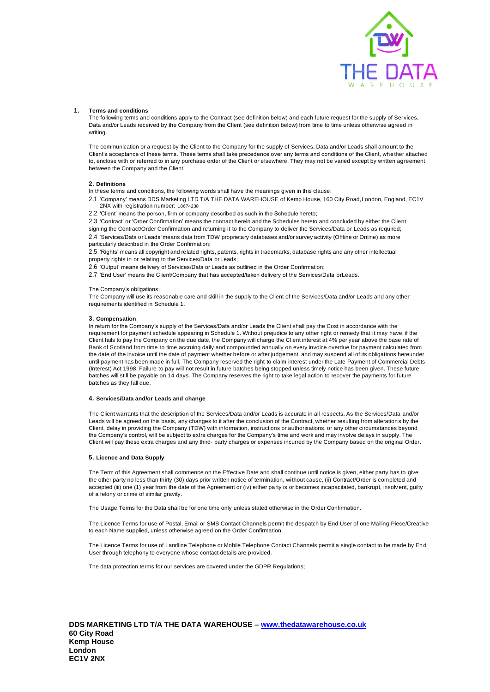

## **1. Terms and conditions**

The following terms and conditions apply to the Contract (see definition below) and each future request for the supply of Services, Data and/or Leads received by the Company from the Client (see definition below) from time to time unless otherwise agreed in writing.

The communication or a request by the Client to the Company for the supply of Services, Data and/or Leads shall amount to the Client's acceptance of these terms. These terms shall take precedence over any terms and conditions of the Client, whether attached to, enclose with or referred to in any purchase order of the Client or elsewhere. They may not be varied except by written agreement between the Company and the Client.

## **2. Definitions**

- In these terms and conditions, the following words shall have the meanings given in this clause:
- 2.1 'Company' means DDS Marketing LTD T/A THE DATA WAREHOUSE of Kemp House, 160 City Road,London, England, EC1V 2NX with registration number: 10674230
- 2.2 'Client' means the person, firm or company described as such in the Schedule hereto;

2.3 'Contract' or 'Order Confirmation' means the contract herein and the Schedules hereto and concluded by either the Client

signing the Contract/Order Confirmation and returning it to the Company to deliver the Services/Data or Leads as required; 2.4 'Services/Data or Leads' means data from TDW proprietary databases and/or survey activity (Offline or Online) as more particularly described in the Order Confirmation;

2.5 'Rights' means all copyright and related rights, patents, rights in trademarks, database rights and any other intellectual property rights in or relating to the Services/Data or Leads;

- 2.6 'Output' means delivery of Services/Data or Leads as outlined in the Order Confirmation;
- 2.7 'End User' means the Client/Company that has accepted/taken delivery of the Services/Data orLeads.

## The Company's obligations;

The Company will use its reasonable care and skill in the supply to the Client of the Services/Data and/or Leads and any other requirements identified in Schedule 1.

#### **3. Compensation**

In return for the Company's supply of the Services/Data and/or Leads the Client shall pay the Cost in accordance with the requirement for payment schedule appearing in Schedule 1. Without prejudice to any other right or remedy that it may have, if the Client fails to pay the Company on the due date, the Company will charge the Client interest at 4% per year above the base rate of Bank of Scotland from time to time accruing daily and compounded annually on every invoice overdue for payment calculated from the date of the invoice until the date of payment whether before or after judgement, and may suspend all of its obligations hereunder until payment has been made in full. The Company reserved the right to claim interest under the Late Payment of Commercial Debts (Interest) Act 1998. Failure to pay will not result in future batches being stopped unless timely notice has been given. These future batches will still be payable on 14 days. The Company reserves the right to take legal action to recover the payments for future batches as they fall due.

## **4. Services/Data and/or Leads and change**

The Client warrants that the description of the Services/Data and/or Leads is accurate in all respects. As the Services/Data and/or Leads will be agreed on this basis, any changes to it after the conclusion of the Contract, whether resulting from alterations by the Client, delay in providing the Company (TDW) with information, instructions or authorisations, or any other circumstances beyond the Company's control, will be subject to extra charges for the Company's time and work and may involve delays in supply. The Client will pay these extra charges and any third- party charges or expenses incurred by the Company based on the original Order.

#### **5. Licence and Data Supply**

The Term of this Agreement shall commence on the Effective Date and shall continue until notice is given, either party has to give the other party no less than thirty (30) days prior written notice of termination, without cause, (ii) Contract/Order is completed and accepted (iii) one (1) year from the date of the Agreement or (iv) either party is or becomes incapacitated, bankrupt, insolvent, guilty of a felony or crime of similar gravity.

The Usage Terms for the Data shall be for one time only unless stated otherwise in the Order Confirmation.

The Licence Terms for use of Postal, Email or SMS Contact Channels permit the despatch by End User of one Mailing Piece/Creative to each Name supplied, unless otherwise agreed on the Order Confirmation.

The Licence Terms for use of Landline Telephone or Mobile Telephone Contact Channels permit a single contact to be made by End User through telephony to everyone whose contact details are provided.

The data protection terms for our services are covered under the GDPR Regulations;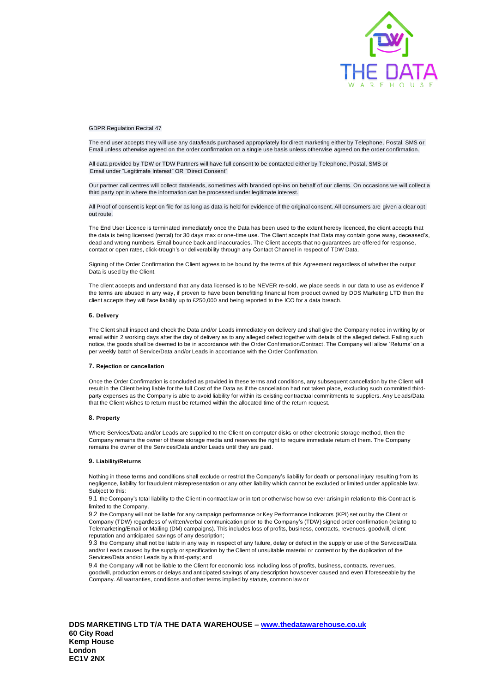

GDPR Regulation Recital 47

The end user accepts they will use any data/leads purchased appropriately for direct marketing either by Telephone, Postal, SMS or Email unless otherwise agreed on the order confirmation on a single use basis unless otherwise agreed on the order confirmation.

All data provided by TDW or TDW Partners will have full consent to be contacted either by Telephone, Postal, SMS or Email under "Legitimate Interest" OR "Direct Consent"

Our partner call centres will collect data/leads, sometimes with branded opt-ins on behalf of our clients. On occasions we will collect a third party opt in where the information can be processed under legitimate interest.

All Proof of consent is kept on file for as long as data is held for evidence of the original consent. All consumers are given a clear opt out route.

The End User Licence is terminated immediately once the Data has been used to the extent hereby licenced, the client accepts that the data is being licensed (rental) for 30 days max or one-time use. The Client accepts that Data may contain gone away, deceased's, dead and wrong numbers, Email bounce back and inaccuracies. The Client accepts that no guarantees are offered for response, contact or open rates, click-trough's or deliverability through any Contact Channel in respect of TDW Data.

Signing of the Order Confirmation the Client agrees to be bound by the terms of this Agreement regardless of whether the output Data is used by the Client.

The client accepts and understand that any data licensed is to be NEVER re-sold, we place seeds in our data to use as evidence if the terms are abused in any way, if proven to have been benefitting financial from product owned by DDS Marketing LTD then the client accepts they will face liability up to £250,000 and being reported to the ICO for a data breach.

## **6. Delivery**

The Client shall inspect and check the Data and/or Leads immediately on delivery and shall give the Company notice in writing by or email within 2 working days after the day of delivery as to any alleged defect together with details of the alleged defect. Failing such notice, the goods shall be deemed to be in accordance with the Order Confirmation/Contract. The Company will allow 'Returns' on a per weekly batch of Service/Data and/or Leads in accordance with the Order Confirmation.

#### **7. Rejection or cancellation**

Once the Order Confirmation is concluded as provided in these terms and conditions, any subsequent cancellation by the Client will result in the Client being liable for the full Cost of the Data as if the cancellation had not taken place, excluding such committed thirdparty expenses as the Company is able to avoid liability for within its existing contractual commitments to suppliers. Any Leads/Data that the Client wishes to return must be returned within the allocated time of the return request.

## **8. Property**

Where Services/Data and/or Leads are supplied to the Client on computer disks or other electronic storage method, then the Company remains the owner of these storage media and reserves the right to require immediate return of them. The Company remains the owner of the Services/Data and/or Leads until they are paid.

#### **9. Liability/Returns**

Nothing in these terms and conditions shall exclude or restrict the Company's liability for death or personal injury resulting from its negligence, liability for fraudulent misrepresentation or any other liability which cannot be excluded or limited under applicable law. Subject to this:

9.1 the Company's total liability to the Client in contract law or in tort or otherwise how so ever arising in relation to this Contract is limited to the Company.

9.2 the Company will not be liable for any campaign performance or Key Performance Indicators (KPI) set out by the Client or Company (TDW) regardless of written/verbal communication prior to the Company's (TDW) signed order confirmation (relating to Telemarketing/Email or Mailing (DM) campaigns). This includes loss of profits, business, contracts, revenues, goodwill, client reputation and anticipated savings of any description;

9.3 the Company shall not be liable in any way in respect of any failure, delay or defect in the supply or use of the Services/Data and/or Leads caused by the supply or specification by the Client of unsuitable material or content or by the duplication of the Services/Data and/or Leads by a third-party; and

9.4 the Company will not be liable to the Client for economic loss including loss of profits, business, contracts, revenues, goodwill, production errors or delays and anticipated savings of any description howsoever caused and even if foreseeable by the Company. All warranties, conditions and other terms implied by statute, common law or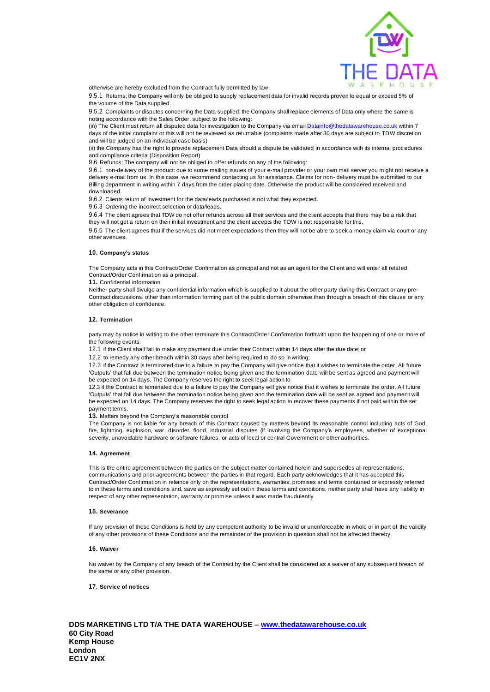

otherwise are hereby excluded from the Contract fully permitted by law.

9.5.1 Returns; the Company will only be obliged to supply replacement data for invalid records proven to equal or exceed 5% of the volume of the Data supplied.

9.5.2 Complaints or disputes concerning the Data supplied; the Company shall replace elements of Data only where the same is noting accordance with the Sales Order, subject to the following:

(in) The Client must return all disputed data for investigation to the Company via email [Datainfo@thedatawarehouse.co.uk](mailto:Datainfo@thedatawarehouse.co.uk) within 7 days of the initial complaint or this will not be reviewed as returnable (complaints made after 30 days are subject to TDW discretion and will be judged on an individual case basis)

(ii) the Company has the right to provide replacement Data should a dispute be validated in accordance with its internal procedures and compliance criteria (Disposition Report)

9.6 Refunds; The company will not be obliged to offer refunds on any of the following:

9.6.1 non-delivery of the product: due to some mailing issues of your e-mail provider or your own mail server you might not receive a delivery e-mail from us. In this case, we recommend contacting us for assistance. Claims for non- delivery must be submitted to our Billing department in writing within 7 days from the order placing date. Otherwise the product will be considered received and downloaded.

9.6.2 Clients return of investment for the data/leads purchased is not what they expected.

9.6.3 Ordering the incorrect selection or data/leads.

9.6.4 The client agrees that TDW do not offer refunds across all their services and the client accepts that there may be a risk that they will not get a return on their initial investment and the client accepts the TDW is not responsible for this.

9.6.5 The client agrees that if the services did not meet expectations then they will not be able to seek a money claim via court or any other avenues.

## **10. Company's status**

The Company acts in this Contract/Order Confirmation as principal and not as an agent for the Client and will enter all related Contract/Order Confirmation as a principal.

**11.** Confidential information

Neither party shall divulge any confidential information which is supplied to it about the other party during this Contract or any pre-Contract discussions, other than information forming part of the public domain otherwise than through a breach of this clause or any other obligation of confidence.

#### **12. Termination**

party may by notice in writing to the other terminate this Contract/Order Confirmation forthwith upon the happening of one or more of the following events:

12.1 if the Client shall fail to make any payment due under their Contract within 14 days after the due date; or

12.2 to remedy any other breach within 30 days after being required to do so in writing;

12.3 if the Contract is terminated due to a failure to pay the Company will give notice that it wishes to terminate the order. All future 'Outputs' that fall due between the termination notice being given and the termination date will be sent as agreed and payment will be expected on 14 days. The Company reserves the right to seek legal action to

12.3 if the Contract is terminated due to a failure to pay the Company will give notice that it wishes to terminate the order. All future 'Outputs' that fall due between the termination notice being given and the termination date will be sent as agreed and payment will be expected on 14 days. The Company reserves the right to seek legal action to recover these payments if not paid within the set payment terms.

**13.** Matters beyond the Company's reasonable control

The Company is not liable for any breach of this Contract caused by matters beyond its reasonable control including acts of God, fire, lightning, explosion, war, disorder, flood, industrial disputes (if involving the Company's employees, whether of exceptional severity, unavoidable hardware or software failures, or acts of local or central Government or other authorities.

#### **14. Agreement**

This is the entire agreement between the parties on the subject matter contained herein and supersedes all representations, communications and prior agreements between the parties in that regard. Each party acknowledges that it has accepted this Contract/Order Confirmation in reliance only on the representations, warranties, promises and terms contained or expressly referred to in these terms and conditions and, save as expressly set out in these terms and conditions, neither party shall have any liability in respect of any other representation, warranty or promise unless it was made fraudulently

#### **15. Severance**

If any provision of these Conditions is held by any competent authority to be invalid or unenforceable in whole or in part of the validity of any other provisions of these Conditions and the remainder of the provision in question shall not be affected thereby.

#### **16. Waiver**

No waiver by the Company of any breach of the Contract by the Client shall be considered as a waiver of any subsequent breach of the same or any other provision.

## **17. Service of notices**